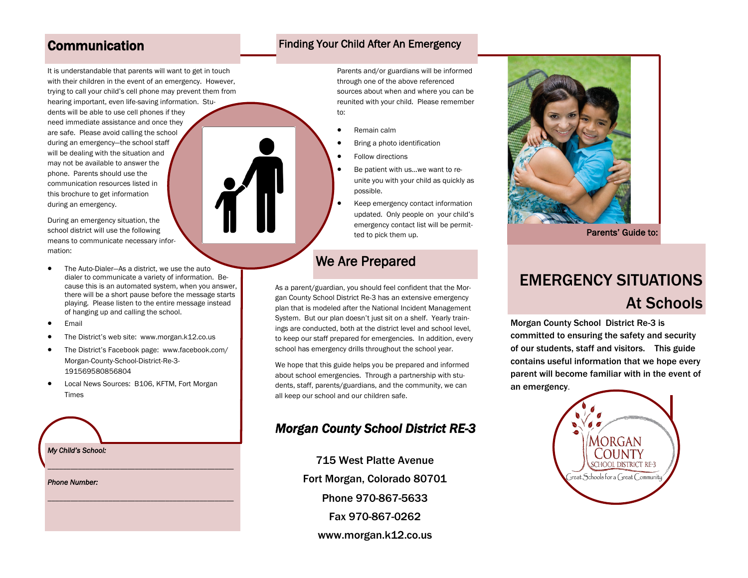### **Communication**

It is understandable that parents will want to get in touch with their children in the event of an emergency. However, trying to call your child's cell phone may prevent them from

hearing important, even life-saving information. Students will be able to use cell phones if they need immediate assistance and once they are safe. Please avoid calling the school during an emergency—the school staff will be dealing with the situation and may not be available to answer the phone. Parents should use the communication resources listed in this brochure to get information during an emergency.

During an emergency situation, the school district will use the following means to communicate necessary information:

- The Auto-Dialer—As a district, we use the auto dialer to communicate a variety of information. Because this is an automated system, when you answer, there will be a short pause before the message starts playing. Please listen to the entire message instead of hanging up and calling the school.
- Email
- The District's web site: www.morgan.k12.co.us
- The District's Facebook page: www.facebook.com/ Morgan-County-School-District-Re-3- 191569580856804
- Local News Sources: B106, KFTM, Fort Morgan Times

*\_\_\_\_\_\_\_\_\_\_\_\_\_\_\_\_\_\_\_\_\_\_\_\_\_\_\_\_\_\_\_\_\_\_\_\_\_\_\_\_\_\_\_\_\_\_\_\_\_*

*\_\_\_\_\_\_\_\_\_\_\_\_\_\_\_\_\_\_\_\_\_\_\_\_\_\_\_\_\_\_\_\_\_\_\_\_\_\_\_\_\_\_\_\_\_\_\_\_\_*

### *My Child's School:*

*Phone Number:* 

### Finding Your Child After An Emergency

Parents and/or guardians will be informed through one of the above referenced sources about when and where you can be reunited with your child. Please remember to:

- Remain calm
- Bring a photo identification
- Follow directions
- Be patient with us...we want to reunite you with your child as quickly as possible.
- Keep emergency contact information updated. Only people on your child's emergency contact list will be permitted to pick them up.

### We Are Prepared

As a parent/guardian, you should feel confident that the Morgan County School District Re-3 has an extensive emergency plan that is modeled after the National Incident Management System. But our plan doesn't just sit on a shelf. Yearly trainings are conducted, both at the district level and school level, to keep our staff prepared for emergencies. In addition, every school has emergency drills throughout the school year.

We hope that this guide helps you be prepared and informed about school emergencies. Through a partnership with students, staff, parents/guardians, and the community, we can all keep our school and our children safe.

### *Morgan County School District RE-3*

715 West Platte Avenue Fort Morgan, Colorado 80701 Phone 970-867-5633 Fax 970-867-0262 www.morgan.k12.co.us



Parents' Guide to:

# EMERGENCY SITUATIONS At Schools

Morgan County School District Re-3 is committed to ensuring the safety and security of our students, staff and visitors. This guide contains useful information that we hope every parent will become familiar with in the event of an emergency.